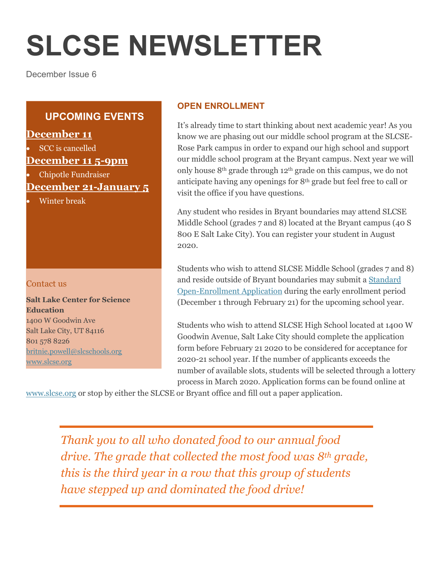# **SLCSE NEWSLETTER**

December Issue 6

# **UPCOMING EVENTS**

## **December 11**

SCC is cancelled

## **December 11 5-9pm**

Chipotle Fundraiser

# **December 21-January 5**

Winter break

#### Contact us

**Salt Lake Center for Science Education** 1400 W Goodwin Ave Salt Lake City, UT 84116 801 578 8226 [britnie.powell@slcschools.org](mailto:britnie.powell@slcschools.org) [www.slcse.org](http://www.slcse.org/)

### **OPEN ENROLLMENT**

It's already time to start thinking about next academic year! As you know we are phasing out our middle school program at the SLCSE-Rose Park campus in order to expand our high school and support our middle school program at the Bryant campus. Next year we will only house 8th grade through 12th grade on this campus, we do not anticipate having any openings for  $8<sup>th</sup>$  grade but feel free to call or visit the office if you have questions.

Any student who resides in Bryant boundaries may attend SLCSE Middle School (grades 7 and 8) located at the Bryant campus (40 S 800 E Salt Lake City). You can register your student in August 2020.

Students who wish to attend SLCSE Middle School (grades 7 and 8) and reside outside of Bryant boundaries may submit [a Standard](https://apex.slcschools.org/apex/f?p=1900:1:0:::::&tz=-7:00)  [Open-Enrollment Application](https://apex.slcschools.org/apex/f?p=1900:1:0:::::&tz=-7:00) during the early enrollment period (December 1 through February 21) for the upcoming school year.

Students who wish to attend SLCSE High School located at 1400 W Goodwin Avenue, Salt Lake City should complete the application form before February 21 2020 to be considered for acceptance for 2020-21 school year. If the number of applicants exceeds the number of available slots, students will be selected through a lottery process in March 2020. Application forms can be found online at

[www.slcse.org](http://www.slcse.org/) or stop by either the SLCSE or Bryant office and fill out a paper application.

*Thank you to all who donated food to our annual food drive. The grade that collected the most food was 8th grade, this is the third year in a row that this group of students have stepped up and dominated the food drive!*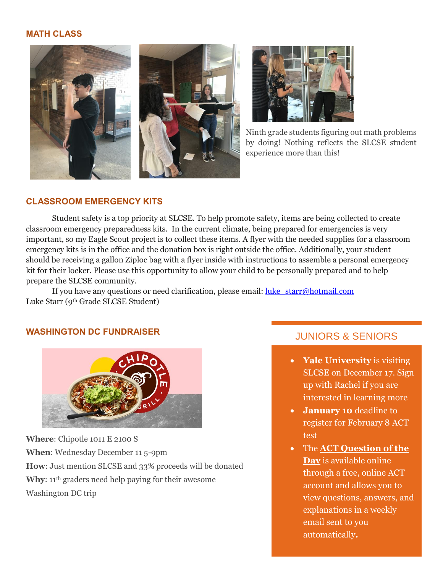#### **MATH CLASS**





Ninth grade students figuring out math problems by doing! Nothing reflects the SLCSE student experience more than this!

#### **CLASSROOM EMERGENCY KITS**

Student safety is a top priority at SLCSE. To help promote safety, items are being collected to create classroom emergency preparedness kits. In the current climate, being prepared for emergencies is very important, so my Eagle Scout project is to collect these items. A flyer with the needed supplies for a classroom emergency kits is in the office and the donation box is right outside the office. Additionally, your student should be receiving a gallon Ziploc bag with a flyer inside with instructions to assemble a personal emergency kit for their locker. Please use this opportunity to allow your child to be personally prepared and to help prepare the SLCSE community.

If you have any questions or need clarification, please email: [luke\\_starr@hotmail.com](mailto:luke_starr@hotmail.com) Luke Starr (9th Grade SLCSE Student)

#### **WASHINGTON DC FUNDRAISER**



**Where**: Chipotle 1011 E 2100 S **When**: Wednesday December 11 5-9pm **How**: Just mention SLCSE and 33% proceeds will be donated **Why**: 11<sup>th</sup> graders need help paying for their awesome Washington DC trip

## JUNIORS & SENIORS

- **Yale University** is visiting SLCSE on December 17. Sign up with Rachel if you are interested in learning more
- **January 10** deadline to register for February 8 ACT test
- The **[ACT Question of the](http://www.act.org/content/act/en/products-and-services/the-act/test-preparation.html)  [Day](http://www.act.org/content/act/en/products-and-services/the-act/test-preparation.html)** is available online through a free, online ACT account and allows you to view questions, answers, and explanations in a weekly email sent to you automatically**.**